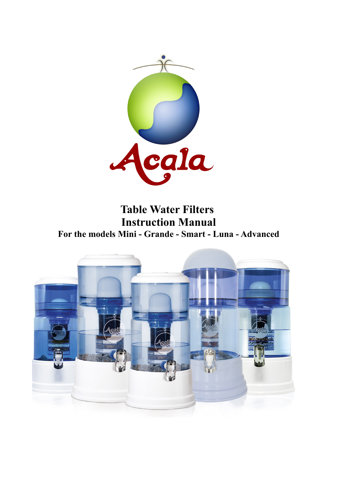

**Table Water Filters Instruction Manual For the models Mini - Grande - Smart - Luna - Advanced**

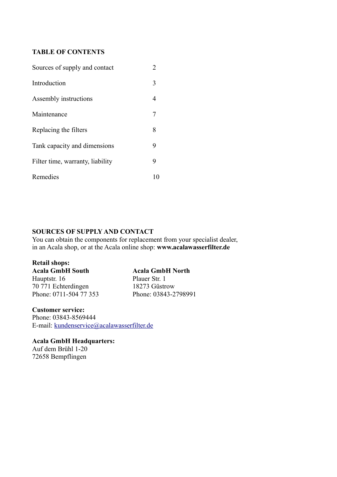#### **TABLE OF CONTENTS**

| Sources of supply and contact    |    |  |
|----------------------------------|----|--|
| Introduction                     | 3  |  |
| Assembly instructions            | 4  |  |
| Maintenance                      |    |  |
| Replacing the filters            | 8  |  |
| Tank capacity and dimensions     | 9  |  |
| Filter time, warranty, liability | 9  |  |
| Remedies                         | 10 |  |

## **SOURCES OF SUPPLY AND CONTACT**

You can obtain the components for replacement from your specialist dealer, in an Acala shop, or at the Acala online shop: **www.acalawasserfilter.de**

#### **Retail shops:**

**Acala GmbH South Acala GmbH North** Hauptstr. 16 Plauer Str. 1 70 771 Echterdingen 18273 Güstrow Phone: 0711-504 77 353 Phone: 03843-2798991

**Customer service:** Phone: 03843-8569444 E-mail: [kundenservice@acalawasserfilter.de](mailto:kundenservice@acalawasserfilter.de)

**Acala GmbH Headquarters:** Auf dem Brühl 1-20 72658 Bempflingen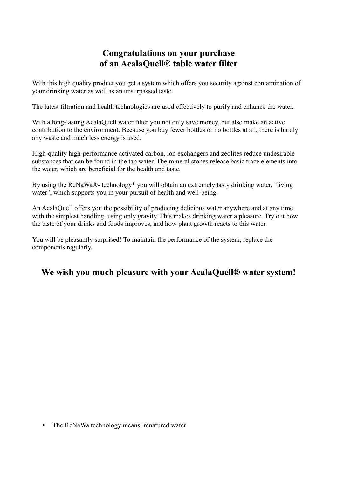# **Congratulations on your purchase of an AcalaQuell® table water filter**

With this high quality product you get a system which offers you security against contamination of your drinking water as well as an unsurpassed taste.

The latest filtration and health technologies are used effectively to purify and enhance the water.

With a long-lasting AcalaQuell water filter you not only save money, but also make an active contribution to the environment. Because you buy fewer bottles or no bottles at all, there is hardly any waste and much less energy is used.

High-quality high-performance activated carbon, ion exchangers and zeolites reduce undesirable substances that can be found in the tap water. The mineral stones release basic trace elements into the water, which are beneficial for the health and taste.

By using the ReNaWa®- technology\* you will obtain an extremely tasty drinking water, "living water", which supports you in your pursuit of health and well-being.

An AcalaQuell offers you the possibility of producing delicious water anywhere and at any time with the simplest handling, using only gravity. This makes drinking water a pleasure. Try out how the taste of your drinks and foods improves, and how plant growth reacts to this water.

You will be pleasantly surprised! To maintain the performance of the system, replace the components regularly.

# **We wish you much pleasure with your AcalaQuell® water system!**

• The ReNaWa technology means: renatured water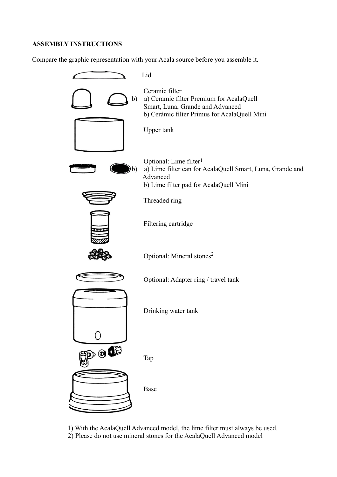#### **ASSEMBLY INSTRUCTIONS**

Compare the graphic representation with your Acala source before you assemble it.



 1) With the AcalaQuell Advanced model, the lime filter must always be used. 2) Please do not use mineral stones for the AcalaQuell Advanced model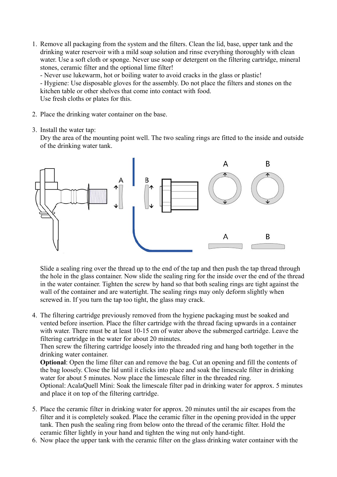1. Remove all packaging from the system and the filters. Clean the lid, base, upper tank and the drinking water reservoir with a mild soap solution and rinse everything thoroughly with clean water. Use a soft cloth or sponge. Never use soap or detergent on the filtering cartridge, mineral stones, ceramic filter and the optional lime filter!

- Never use lukewarm, hot or boiling water to avoid cracks in the glass or plastic!

- Hygiene: Use disposable gloves for the assembly. Do not place the filters and stones on the kitchen table or other shelves that come into contact with food.

Use fresh cloths or plates for this.

- 2. Place the drinking water container on the base.
- 3. Install the water tap:

Dry the area of the mounting point well. The two sealing rings are fitted to the inside and outside of the drinking water tank.



Slide a sealing ring over the thread up to the end of the tap and then push the tap thread through the hole in the glass container. Now slide the sealing ring for the inside over the end of the thread in the water container. Tighten the screw by hand so that both sealing rings are tight against the wall of the container and are watertight. The sealing rings may only deform slightly when screwed in. If you turn the tap too tight, the glass may crack.

4. The filtering cartridge previously removed from the hygiene packaging must be soaked and vented before insertion. Place the filter cartridge with the thread facing upwards in a container with water. There must be at least 10-15 cm of water above the submerged cartridge. Leave the filtering cartridge in the water for about 20 minutes.

Then screw the filtering cartridge loosely into the threaded ring and hang both together in the drinking water container.

**Optional**: Open the lime filter can and remove the bag. Cut an opening and fill the contents of the bag loosely. Close the lid until it clicks into place and soak the limescale filter in drinking water for about 5 minutes. Now place the limescale filter in the threaded ring.

Optional: AcalaQuell Mini: Soak the limescale filter pad in drinking water for approx. 5 minutes and place it on top of the filtering cartridge.

- 5. Place the ceramic filter in drinking water for approx. 20 minutes until the air escapes from the filter and it is completely soaked. Place the ceramic filter in the opening provided in the upper tank. Then push the sealing ring from below onto the thread of the ceramic filter. Hold the ceramic filter lightly in your hand and tighten the wing nut only hand-tight.
- 6. Now place the upper tank with the ceramic filter on the glass drinking water container with the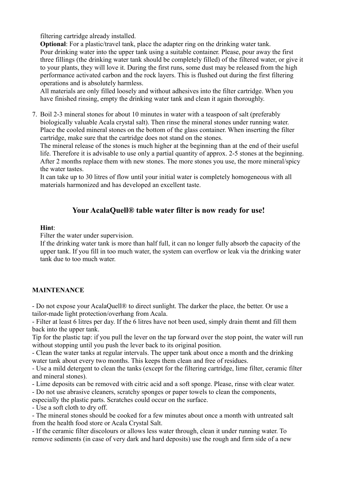filtering cartridge already installed.

**Optional:** For a plastic/travel tank, place the adapter ring on the drinking water tank. Pour drinking water into the upper tank using a suitable container. Please, pour away the first three fillings (the drinking water tank should be completely filled) of the filtered water, or give it to your plants, they will love it. During the first runs, some dust may be released from the high performance activated carbon and the rock layers. This is flushed out during the first filtering operations and is absolutely harmless.

All materials are only filled loosely and without adhesives into the filter cartridge. When you have finished rinsing, empty the drinking water tank and clean it again thoroughly.

7. Boil 2-3 mineral stones for about 10 minutes in water with a teaspoon of salt (preferably biologically valuable Acala crystal salt). Then rinse the mineral stones under running water. Place the cooled mineral stones on the bottom of the glass container. When inserting the filter cartridge, make sure that the cartridge does not stand on the stones.

The mineral release of the stones is much higher at the beginning than at the end of their useful life. Therefore it is advisable to use only a partial quantity of approx. 2-5 stones at the beginning. After 2 months replace them with new stones. The more stones you use, the more mineral/spicy the water tastes

It can take up to 30 litres of flow until your initial water is completely homogeneous with all materials harmonized and has developed an excellent taste.

## **Your AcalaQuell® table water filter is now ready for use!**

#### **Hint**:

Filter the water under supervision.

If the drinking water tank is more than half full, it can no longer fully absorb the capacity of the upper tank. If you fill in too much water, the system can overflow or leak via the drinking water tank due to too much water.

### **MAINTENANCE**

- Do not expose your AcalaQuell® to direct sunlight. The darker the place, the better. Or use a tailor-made light protection/overhang from Acala.

- Filter at least 6 litres per day. If the 6 litres have not been used, simply drain themt and fill them back into the upper tank.

Tip for the plastic tap: if you pull the lever on the tap forward over the stop point, the water will run without stopping until you push the lever back to its original position.

- Clean the water tanks at regular intervals. The upper tank about once a month and the drinking water tank about every two months. This keeps them clean and free of residues.

- Use a mild detergent to clean the tanks (except for the filtering cartridge, lime filter, ceramic filter and mineral stones).

- Lime deposits can be removed with citric acid and a soft sponge. Please, rinse with clear water.

- Do not use abrasive cleaners, scratchy sponges or paper towels to clean the components,

especially the plastic parts. Scratches could occur on the surface.

- Use a soft cloth to dry off.

- The mineral stones should be cooked for a few minutes about once a month with untreated salt from the health food store or Acala Crystal Salt.

- If the ceramic filter discolours or allows less water through, clean it under running water. To remove sediments (in case of very dark and hard deposits) use the rough and firm side of a new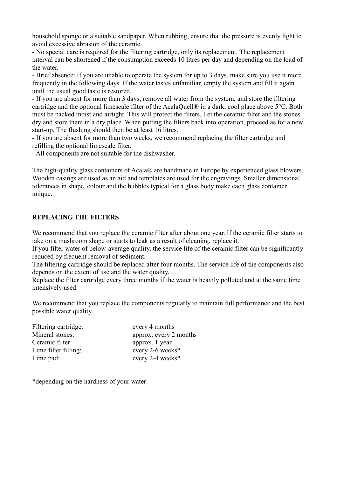household sponge or a suitable sandpaper. When rubbing, ensure that the pressure is evenly light to avoid excessive abrasion of the ceramic.

- No special care is required for the filtering cartridge, only its replacement. The replacement interval can be shortened if the consumption exceeds 10 litres per day and depending on the load of the water.

- Brief absence: If you are unable to operate the system for up to 3 days, make sure you use it more frequently in the following days. If the water tastes unfamiliar, empty the system and fill it again until the usual good taste is restored.

- If you are absent for more than 3 days, remove all water from the system, and store the filtering cartridge and the optional limescale filter of the AcalaQuell® in a dark, cool place above 5°C. Both must be packed moist and airtight. This will protect the filters. Let the ceramic filter and the stones dry and store them in a dry place. When putting the filters back into operation, proceed as for a new start-up. The flushing should then be at least 16 litres.

- If you are absent for more than two weeks, we recommend replacing the filter cartridge and refilling the optional limescale filter.

- All components are not suitable for the dishwasher.

The high-quality glass containers of Acala® are handmade in Europe by experienced glass blowers. Wooden casings are used as an aid and templates are used for the engravings. Smaller dimensional tolerances in shape, colour and the bubbles typical for a glass body make each glass container unique.

### **REPLACING THE FILTERS**

We recommend that you replace the ceramic filter after about one year. If the ceramic filter starts to take on a mushroom shape or starts to leak as a result of cleaning, replace it.

If you filter water of below-average quality, the service life of the ceramic filter can be significantly reduced by frequent removal of sediment.

The filtering cartridge should be replaced after four months. The service life of the components also depends on the extent of use and the water quality.

Replace the filter cartridge every three months if the water is heavily polluted and at the same time intensively used.

We recommend that you replace the components regularly to maintain full performance and the best possible water quality.

| Filtering cartridge: | every 4 months         |
|----------------------|------------------------|
| Mineral stones:      | approx. every 2 months |
| Ceramic filter:      | approx. 1 year         |
| Lime filter filling: | every 2-6 weeks*       |
| Lime pad:            | every 2-4 weeks*       |

\*depending on the hardness of your water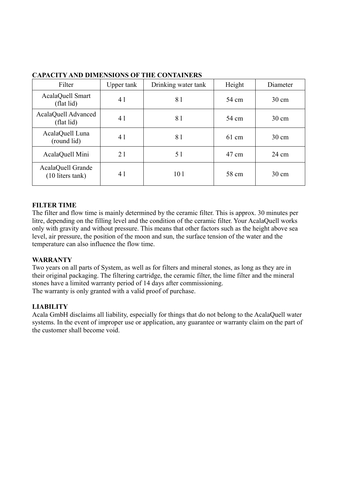| Filter                                  | Upper tank | Drinking water tank | Height          | Diameter        |
|-----------------------------------------|------------|---------------------|-----------------|-----------------|
| AcalaQuell Smart<br>(flat lid)          | 4 1        | 81                  | 54 cm           | $30 \text{ cm}$ |
| AcalaQuell Advanced<br>(flat lid)       | 41         | 81                  | 54 cm           | $30 \text{ cm}$ |
| AcalaQuell Luna<br>(round lid)          | 41         | 81                  | $61 \text{ cm}$ | $30 \text{ cm}$ |
| AcalaQuell Mini                         | 21         | 5 1                 | 47 cm           | $24 \text{ cm}$ |
| AcalaQuell Grande<br>$(10$ liters tank) | 41         | 10 <sub>1</sub>     | 58 cm           | $30 \text{ cm}$ |

#### **CAPACITY AND DIMENSIONS OF THE CONTAINERS**

#### **FILTER TIME**

The filter and flow time is mainly determined by the ceramic filter. This is approx. 30 minutes per litre, depending on the filling level and the condition of the ceramic filter. Your AcalaQuell works only with gravity and without pressure. This means that other factors such as the height above sea level, air pressure, the position of the moon and sun, the surface tension of the water and the temperature can also influence the flow time.

#### **WARRANTY**

Two years on all parts of System, as well as for filters and mineral stones, as long as they are in their original packaging. The filtering cartridge, the ceramic filter, the lime filter and the mineral stones have a limited warranty period of 14 days after commissioning. The warranty is only granted with a valid proof of purchase.

#### **LIABILITY**

Acala GmbH disclaims all liability, especially for things that do not belong to the AcalaQuell water systems. In the event of improper use or application, any guarantee or warranty claim on the part of the customer shall become void.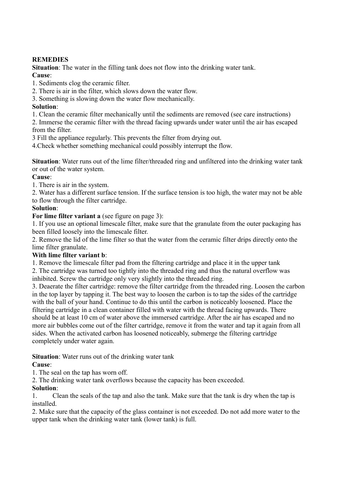## **REMEDIES**

**Situation**: The water in the filling tank does not flow into the drinking water tank. **Cause**:

1. Sediments clog the ceramic filter.

2. There is air in the filter, which slows down the water flow.

3. Something is slowing down the water flow mechanically.

## **Solution**:

1. Clean the ceramic filter mechanically until the sediments are removed (see care instructions)

2. Immerse the ceramic filter with the thread facing upwards under water until the air has escaped from the filter.

3 Fill the appliance regularly. This prevents the filter from drying out.

4.Check whether something mechanical could possibly interrupt the flow.

**Situation**: Water runs out of the lime filter/threaded ring and unfiltered into the drinking water tank or out of the water system.

### **Cause**:

1. There is air in the system.

2. Water has a different surface tension. If the surface tension is too high, the water may not be able to flow through the filter cartridge.

## **Solution**:

**For lime filter variant a** (see figure on page 3):

1. If you use an optional limescale filter, make sure that the granulate from the outer packaging has been filled loosely into the limescale filter.

2. Remove the lid of the lime filter so that the water from the ceramic filter drips directly onto the lime filter granulate.

## **With lime filter variant b**:

1. Remove the limescale filter pad from the filtering cartridge and place it in the upper tank

2. The cartridge was turned too tightly into the threaded ring and thus the natural overflow was inhibited. Screw the cartridge only very slightly into the threaded ring.

3. Deaerate the filter cartridge: remove the filter cartridge from the threaded ring. Loosen the carbon in the top layer by tapping it. The best way to loosen the carbon is to tap the sides of the cartridge with the ball of your hand. Continue to do this until the carbon is noticeably loosened. Place the filtering cartridge in a clean container filled with water with the thread facing upwards. There should be at least 10 cm of water above the immersed cartridge. After the air has escaped and no more air bubbles come out of the filter cartridge, remove it from the water and tap it again from all sides. When the activated carbon has loosened noticeably, submerge the filtering cartridge completely under water again.

**Situation**: Water runs out of the drinking water tank

## **Cause**:

1. The seal on the tap has worn off.

2. The drinking water tank overflows because the capacity has been exceeded.

## **Solution**:

1. Clean the seals of the tap and also the tank. Make sure that the tank is dry when the tap is installed.

2. Make sure that the capacity of the glass container is not exceeded. Do not add more water to the upper tank when the drinking water tank (lower tank) is full.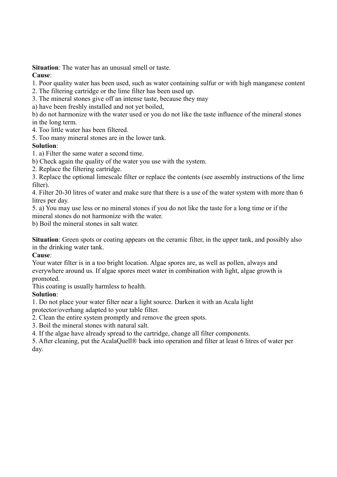**Situation**: The water has an unusual smell or taste.

## **Cause**:

1. Poor quality water has been used, such as water containing sulfur or with high manganese content

- 2. The filtering cartridge or the lime filter has been used up.
- 3. The mineral stones give off an intense taste, because they may
- a) have been freshly installed and not yet boiled,

b) do not harmonize with the water used or you do not like the taste influence of the mineral stones in the long term.

4. Too little water has been filtered.

5. Too many mineral stones are in the lower tank.

## **Solution**:

1. a) Filter the same water a second time.

b) Check again the quality of the water you use with the system.

2. Replace the filtering cartridge.

3. Replace the optional limescale filter or replace the contents (see assembly instructions of the lime filter).

4. Filter 20-30 litres of water and make sure that there is a use of the water system with more than 6 litres per day.

5. a) You may use less or no mineral stones if you do not like the taste for a long time or if the mineral stones do not harmonize with the water.

b) Boil the mineral stones in salt water.

**Situation**: Green spots or coating appears on the ceramic filter, in the upper tank, and possibly also in the drinking water tank.

## **Cause**:

Your water filter is in a too bright location. Algae spores are, as well as pollen, always and everywhere around us. If algae spores meet water in combination with light, algae growth is promoted.

This coating is usually harmless to health.

## **Solution**:

1. Do not place your water filter near a light source. Darken it with an Acala light

protector/overhang adapted to your table filter.

2. Clean the entire system promptly and remove the green spots.

3. Boil the mineral stones with natural salt.

4. If the algae have already spread to the cartridge, change all filter components.

5. After cleaning, put the AcalaQuell® back into operation and filter at least 6 litres of water per day.